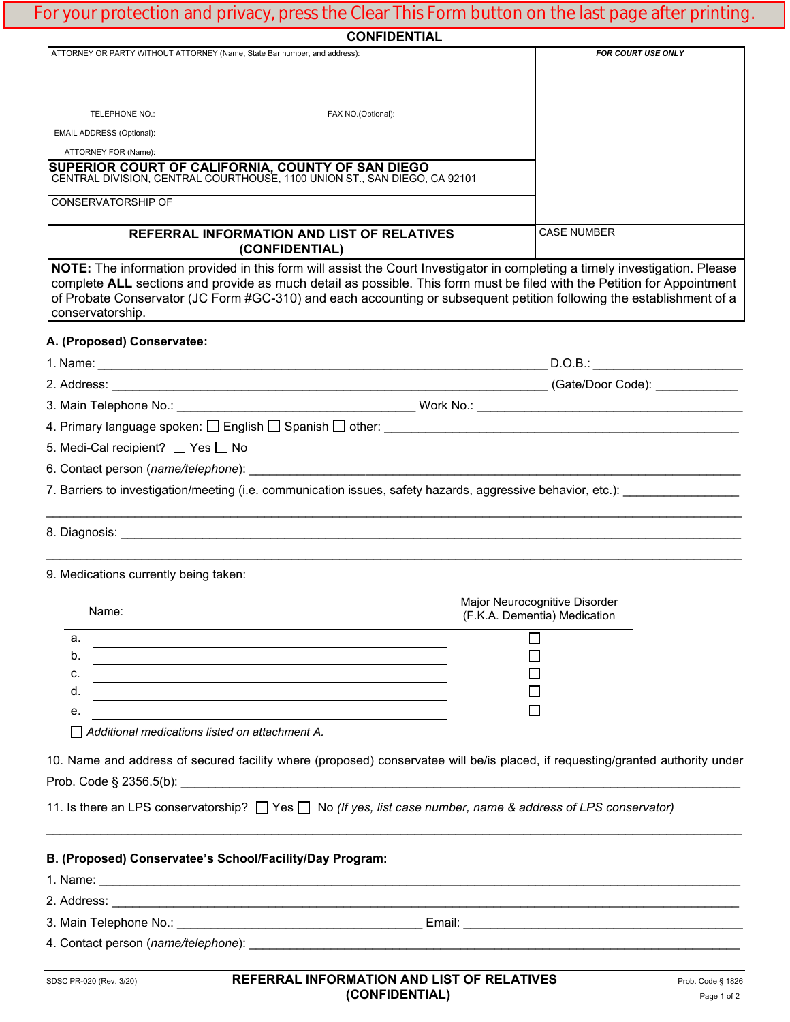## For your protection and privacy, press the Clear This Form button on the last page after printing.

|                                                                                                                                                                                                                                                                                                                                                                                                    | <b>CONFIDENTIAL</b> |                                                                                   |
|----------------------------------------------------------------------------------------------------------------------------------------------------------------------------------------------------------------------------------------------------------------------------------------------------------------------------------------------------------------------------------------------------|---------------------|-----------------------------------------------------------------------------------|
| ATTORNEY OR PARTY WITHOUT ATTORNEY (Name, State Bar number, and address):                                                                                                                                                                                                                                                                                                                          |                     | FOR COURT USE ONLY                                                                |
|                                                                                                                                                                                                                                                                                                                                                                                                    |                     |                                                                                   |
|                                                                                                                                                                                                                                                                                                                                                                                                    |                     |                                                                                   |
| TELEPHONE NO.:                                                                                                                                                                                                                                                                                                                                                                                     | FAX NO.(Optional):  |                                                                                   |
| EMAIL ADDRESS (Optional):                                                                                                                                                                                                                                                                                                                                                                          |                     |                                                                                   |
| ATTORNEY FOR (Name):<br>SUPERIOR COURT OF CALIFORNIA, COUNTY OF SAN DIEGO<br>CENTRAL DIVISION, CENTRAL COURTHOUSE, 1100 UNION ST., SAN DIEGO, CA 92101                                                                                                                                                                                                                                             |                     |                                                                                   |
| <b>CONSERVATORSHIP OF</b>                                                                                                                                                                                                                                                                                                                                                                          |                     |                                                                                   |
| REFERRAL INFORMATION AND LIST OF RELATIVES<br>(CONFIDENTIAL)                                                                                                                                                                                                                                                                                                                                       |                     | <b>CASE NUMBER</b>                                                                |
| NOTE: The information provided in this form will assist the Court Investigator in completing a timely investigation. Please<br>complete ALL sections and provide as much detail as possible. This form must be filed with the Petition for Appointment<br>of Probate Conservator (JC Form #GC-310) and each accounting or subsequent petition following the establishment of a<br>conservatorship. |                     |                                                                                   |
| A. (Proposed) Conservatee:                                                                                                                                                                                                                                                                                                                                                                         |                     |                                                                                   |
|                                                                                                                                                                                                                                                                                                                                                                                                    |                     |                                                                                   |
|                                                                                                                                                                                                                                                                                                                                                                                                    |                     |                                                                                   |
|                                                                                                                                                                                                                                                                                                                                                                                                    |                     |                                                                                   |
|                                                                                                                                                                                                                                                                                                                                                                                                    |                     |                                                                                   |
| 5. Medi-Cal recipient? □ Yes □ No                                                                                                                                                                                                                                                                                                                                                                  |                     |                                                                                   |
|                                                                                                                                                                                                                                                                                                                                                                                                    |                     |                                                                                   |
| 7. Barriers to investigation/meeting (i.e. communication issues, safety hazards, aggressive behavior, etc.):                                                                                                                                                                                                                                                                                       |                     |                                                                                   |
|                                                                                                                                                                                                                                                                                                                                                                                                    |                     | ,我们也不能在这里的人,我们也不能在这里的人,我们也不能在这里的人,我们也不能在这里的人,我们也不能在这里的人,我们也不能在这里的人,我们也不能在这里的人,我们也 |
| 9. Medications currently being taken:                                                                                                                                                                                                                                                                                                                                                              |                     |                                                                                   |
| Name:                                                                                                                                                                                                                                                                                                                                                                                              |                     | Major Neurocognitive Disorder<br>(F.K.A. Dementia) Medication                     |
| a.                                                                                                                                                                                                                                                                                                                                                                                                 |                     |                                                                                   |
| b.                                                                                                                                                                                                                                                                                                                                                                                                 |                     |                                                                                   |
| c.                                                                                                                                                                                                                                                                                                                                                                                                 |                     |                                                                                   |
| d.<br><u> 1989 - Andrea Station Barbara, amerikan personal (h. 1989).</u>                                                                                                                                                                                                                                                                                                                          |                     |                                                                                   |
| е.                                                                                                                                                                                                                                                                                                                                                                                                 |                     |                                                                                   |
| Additional medications listed on attachment A.                                                                                                                                                                                                                                                                                                                                                     |                     |                                                                                   |
| 10. Name and address of secured facility where (proposed) conservatee will be/is placed, if requesting/granted authority under                                                                                                                                                                                                                                                                     |                     |                                                                                   |
| 11. Is there an LPS conservatorship? $\Box$ Yes $\Box$ No (If yes, list case number, name & address of LPS conservator)                                                                                                                                                                                                                                                                            |                     |                                                                                   |
| B. (Proposed) Conservatee's School/Facility/Day Program:                                                                                                                                                                                                                                                                                                                                           |                     |                                                                                   |
|                                                                                                                                                                                                                                                                                                                                                                                                    |                     |                                                                                   |
| 1. Name: <u>2008 - 2008 - 2008 - 2008 - 2008 - 2008 - 2008 - 2008 - 2008 - 2008 - 2008 - 2008 - 2008 - 2008 - 2008 - 2008 - 2008 - 2008 - 2008 - 2008 - 2008 - 2008 - 2008 - 2008 - 2008 - 2008 - 2008 - 2008 - 2008 - 2008 - 20</u>                                                                                                                                                               |                     |                                                                                   |
|                                                                                                                                                                                                                                                                                                                                                                                                    |                     |                                                                                   |
|                                                                                                                                                                                                                                                                                                                                                                                                    |                     |                                                                                   |

4. Contact person (*name/telephone*): \_